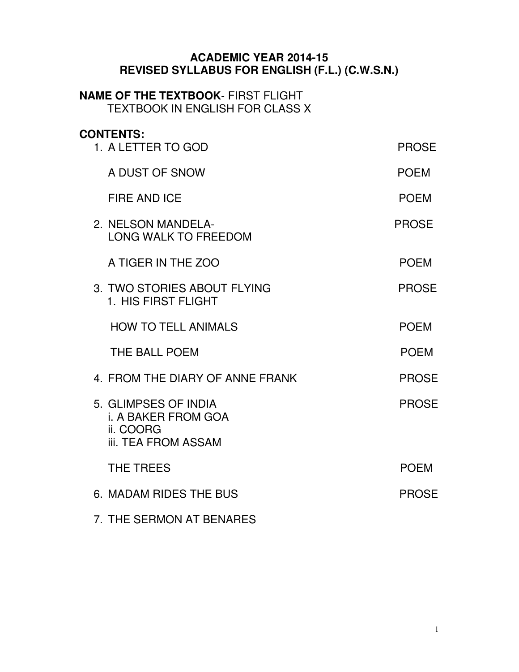#### **ACADEMIC YEAR 2014-15 REVISED SYLLABUS FOR ENGLISH (F.L.) (C.W.S.N.)**

#### **NAME OF THE TEXTBOOK**- FIRST FLIGHT TEXTBOOK IN ENGLISH FOR CLASS X

## **CONTENTS:**

| 1. A LETTER TO GOD                                                                            | <b>PROSE</b> |
|-----------------------------------------------------------------------------------------------|--------------|
| A DUST OF SNOW                                                                                | <b>POEM</b>  |
| <b>FIRE AND ICE</b>                                                                           | <b>POEM</b>  |
| 2. NELSON MANDELA-<br><b>LONG WALK TO FREEDOM</b>                                             | <b>PROSE</b> |
| A TIGER IN THE ZOO                                                                            | <b>POEM</b>  |
| 3. TWO STORIES ABOUT FLYING<br>1. HIS FIRST FLIGHT                                            | <b>PROSE</b> |
| <b>HOW TO TELL ANIMALS</b>                                                                    | <b>POEM</b>  |
| THE BALL POEM                                                                                 | <b>POEM</b>  |
| 4. FROM THE DIARY OF ANNE FRANK                                                               | <b>PROSE</b> |
| 5. GLIMPSES OF INDIA<br><b>i. A BAKER FROM GOA</b><br>ii. COORG<br><b>iii. TEA FROM ASSAM</b> | <b>PROSE</b> |
| THE TREES                                                                                     | <b>POEM</b>  |
| 6. MADAM RIDES THE BUS                                                                        | <b>PROSE</b> |
| 7. THE SERMON AT BENARES                                                                      |              |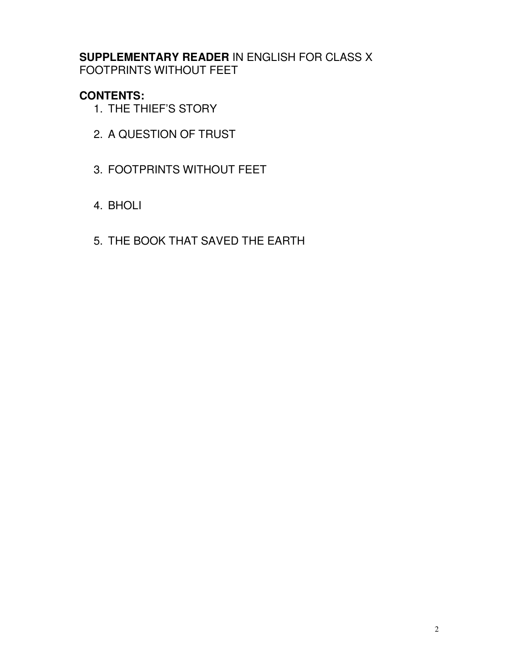**SUPPLEMENTARY READER** IN ENGLISH FOR CLASS X FOOTPRINTS WITHOUT FEET

### **CONTENTS:**

- 1. THE THIEF'S STORY
- 2. A QUESTION OF TRUST
- 3. FOOTPRINTS WITHOUT FEET
- 4. BHOLI
- 5. THE BOOK THAT SAVED THE EARTH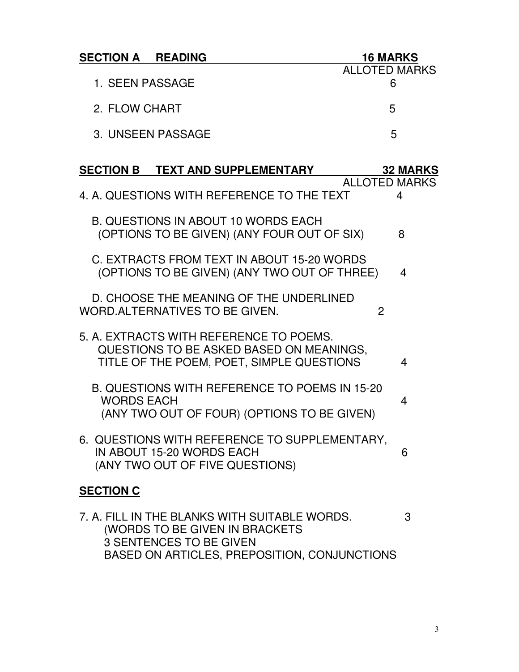| <b>SECTION A READING</b> | <b>16 MARKS</b>      |
|--------------------------|----------------------|
|                          | <b>ALLOTED MARKS</b> |
| 1. SEEN PASSAGE          |                      |
| 2. FLOW CHART            | 5                    |
| 3. UNSEEN PASSAGE        | Б,                   |

| <b>SECTION B TEXT AND SUPPLEMENTARY</b>                                                                                          | <b>32 MARKS</b>           |
|----------------------------------------------------------------------------------------------------------------------------------|---------------------------|
| 4. A. QUESTIONS WITH REFERENCE TO THE TEXT                                                                                       | <b>ALLOTED MARKS</b><br>4 |
| <b>B. QUESTIONS IN ABOUT 10 WORDS EACH</b><br>(OPTIONS TO BE GIVEN) (ANY FOUR OUT OF SIX)                                        | 8                         |
| C. EXTRACTS FROM TEXT IN ABOUT 15-20 WORDS<br>(OPTIONS TO BE GIVEN) (ANY TWO OUT OF THREE)                                       | 4                         |
| D. CHOOSE THE MEANING OF THE UNDERLINED<br>WORD. ALTERNATIVES TO BE GIVEN.                                                       | $\mathbf{P}$              |
| 5. A. EXTRACTS WITH REFERENCE TO POEMS.<br>QUESTIONS TO BE ASKED BASED ON MEANINGS,<br>TITLE OF THE POEM, POET, SIMPLE QUESTIONS | 4                         |
| <b>B. QUESTIONS WITH REFERENCE TO POEMS IN 15-20</b><br><b>WORDS EACH</b><br>(ANY TWO OUT OF FOUR) (OPTIONS TO BE GIVEN)         | 4                         |
| 6. QUESTIONS WITH REFERENCE TO SUPPLEMENTARY.<br>IN ABOUT 15-20 WORDS EACH<br>(ANY TWO OUT OF FIVE QUESTIONS)                    | 6                         |
| <b>SECTION C</b>                                                                                                                 |                           |
| 7. A. FILL IN THE BLANKS WITH SUITABLE WORDS.<br>(WORDS TO BE GIVEN IN BRACKETS<br><b>3 SENTENCES TO BE GIVEN</b>                | 3                         |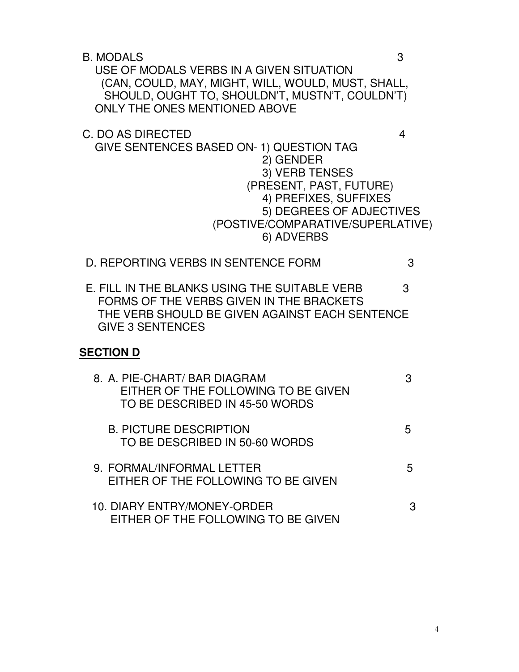B. MODALS 3

 USE OF MODALS VERBS IN A GIVEN SITUATION (CAN, COULD, MAY, MIGHT, WILL, WOULD, MUST, SHALL, SHOULD, OUGHT TO, SHOULDN'T, MUSTN'T, COULDN'T) ONLY THE ONES MENTIONED ABOVE

C. DO AS DIRECTED 4

- GIVE SENTENCES BASED ON- 1) QUESTION TAG 2) GENDER 3) VERB TENSES (PRESENT, PAST, FUTURE) 4) PREFIXES, SUFFIXES 5) DEGREES OF ADJECTIVES (POSTIVE/COMPARATIVE/SUPERLATIVE) 6) ADVERBS
- D. REPORTING VERBS IN SENTENCE FORM 3
- E. FILL IN THE BLANKS USING THE SUITABLE VERB 3 FORMS OF THE VERBS GIVEN IN THE BRACKETS THE VERB SHOULD BE GIVEN AGAINST EACH SENTENCE GIVE 3 SENTENCES

#### **SECTION D**

| 8. A. PIE-CHART/ BAR DIAGRAM<br>EITHER OF THE FOLLOWING TO BE GIVEN<br>TO BE DESCRIBED IN 45-50 WORDS |   |
|-------------------------------------------------------------------------------------------------------|---|
| <b>B. PICTURE DESCRIPTION</b><br>TO BE DESCRIBED IN 50-60 WORDS                                       |   |
| 9. FORMAL/INFORMAL LETTER<br>EITHER OF THE FOLLOWING TO BE GIVEN                                      | h |
| 10. DIARY ENTRY/MONEY-ORDER<br>EITHER OF THE FOLLOWING TO BE GIVEN                                    |   |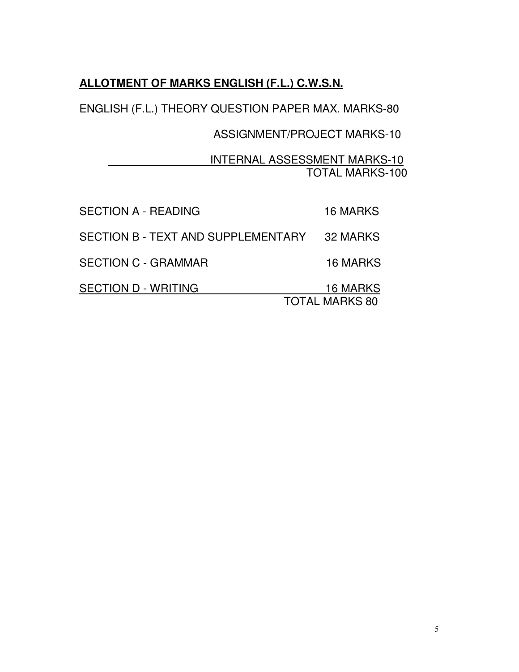## **ALLOTMENT OF MARKS ENGLISH (F.L.) C.W.S.N.**

ENGLISH (F.L.) THEORY QUESTION PAPER MAX. MARKS-80

### ASSIGNMENT/PROJECT MARKS-10

### INTERNAL ASSESSMENT MARKS-10 TOTAL MARKS-100

| <b>SECTION A - READING</b>         | <b>16 MARKS</b>       |
|------------------------------------|-----------------------|
| SECTION B - TEXT AND SUPPLEMENTARY | 32 MARKS              |
| <b>SECTION C - GRAMMAR</b>         | 16 MARKS              |
| <b>SECTION D - WRITING</b>         | 16 MARKS              |
|                                    | <b>TOTAL MARKS 80</b> |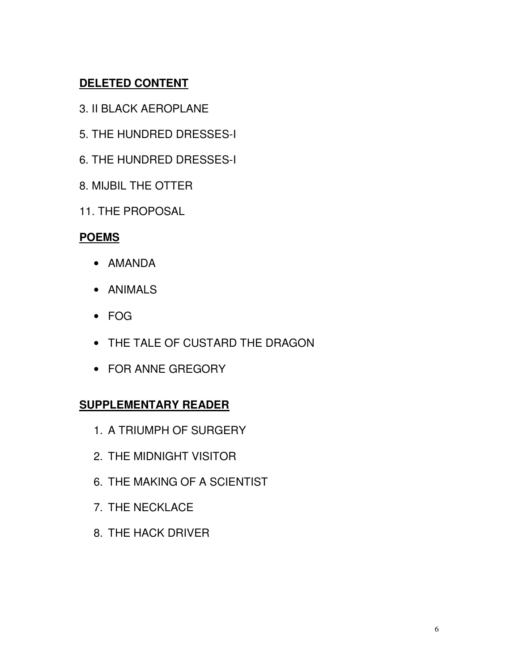## **DELETED CONTENT**

- 3. II BLACK AEROPLANE
- 5. THE HUNDRED DRESSES-I
- 6. THE HUNDRED DRESSES-I
- 8. MIJBIL THE OTTER
- 11. THE PROPOSAL

### **POEMS**

- AMANDA
- ANIMALS
- FOG
- THE TALE OF CUSTARD THE DRAGON
- FOR ANNE GREGORY

### **SUPPLEMENTARY READER**

- 1. A TRIUMPH OF SURGERY
- 2. THE MIDNIGHT VISITOR
- 6. THE MAKING OF A SCIENTIST
- 7. THE NECKLACE
- 8. THE HACK DRIVER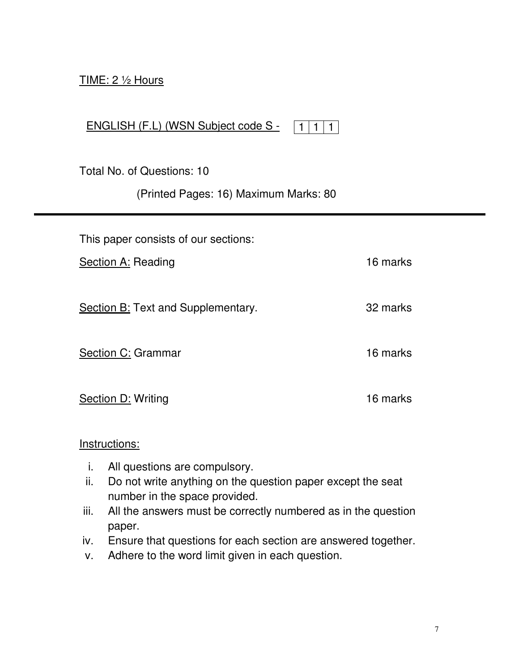### TIME: 2 ½ Hours

|  | ENGLISH (F.L) (WSN Subject code S - | 11111 |  |
|--|-------------------------------------|-------|--|
|  |                                     |       |  |
|  |                                     |       |  |

Total No. of Questions: 10

(Printed Pages: 16) Maximum Marks: 80

| This paper consists of our sections:      |          |
|-------------------------------------------|----------|
| <b>Section A: Reading</b>                 | 16 marks |
| <b>Section B: Text and Supplementary.</b> | 32 marks |
| Section C: Grammar                        | 16 marks |
| <b>Section D: Writing</b>                 | 16 marks |

Instructions:

- i. All questions are compulsory.
- ii. Do not write anything on the question paper except the seat number in the space provided.
- iii. All the answers must be correctly numbered as in the question paper.
- iv. Ensure that questions for each section are answered together.
- v. Adhere to the word limit given in each question.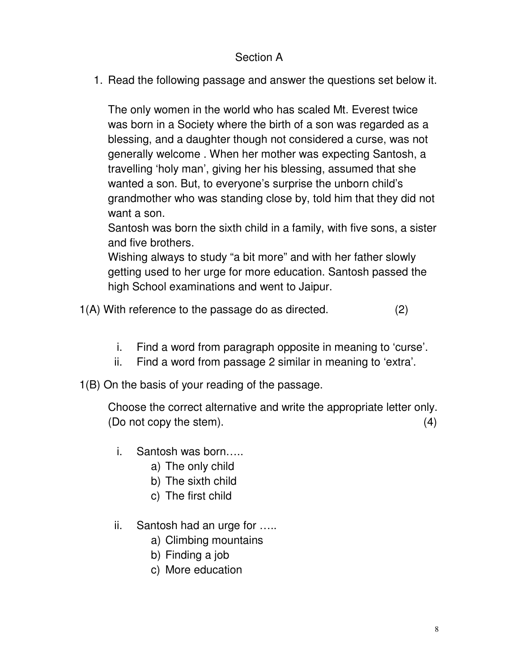### Section A

1. Read the following passage and answer the questions set below it.

The only women in the world who has scaled Mt. Everest twice was born in a Society where the birth of a son was regarded as a blessing, and a daughter though not considered a curse, was not generally welcome . When her mother was expecting Santosh, a travelling 'holy man', giving her his blessing, assumed that she wanted a son. But, to everyone's surprise the unborn child's grandmother who was standing close by, told him that they did not want a son.

Santosh was born the sixth child in a family, with five sons, a sister and five brothers.

Wishing always to study "a bit more" and with her father slowly getting used to her urge for more education. Santosh passed the high School examinations and went to Jaipur.

1(A) With reference to the passage do as directed. (2)

- i. Find a word from paragraph opposite in meaning to 'curse'.
- ii. Find a word from passage 2 similar in meaning to 'extra'.

1(B) On the basis of your reading of the passage.

Choose the correct alternative and write the appropriate letter only. (Do not copy the stem). (4)

- i. Santosh was born…..
	- a) The only child
	- b) The sixth child
	- c) The first child
- ii. Santosh had an urge for …..
	- a) Climbing mountains
	- b) Finding a job
	- c) More education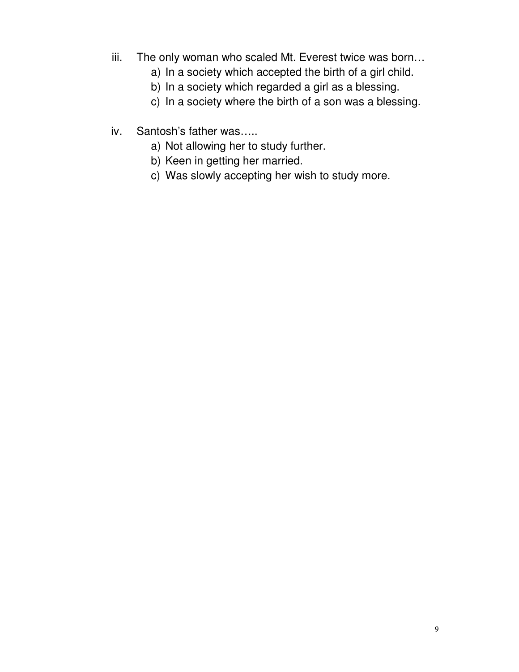- iii. The only woman who scaled Mt. Everest twice was born…
	- a) In a society which accepted the birth of a girl child.
	- b) In a society which regarded a girl as a blessing.
	- c) In a society where the birth of a son was a blessing.
- iv. Santosh's father was…..
	- a) Not allowing her to study further.
	- b) Keen in getting her married.
	- c) Was slowly accepting her wish to study more.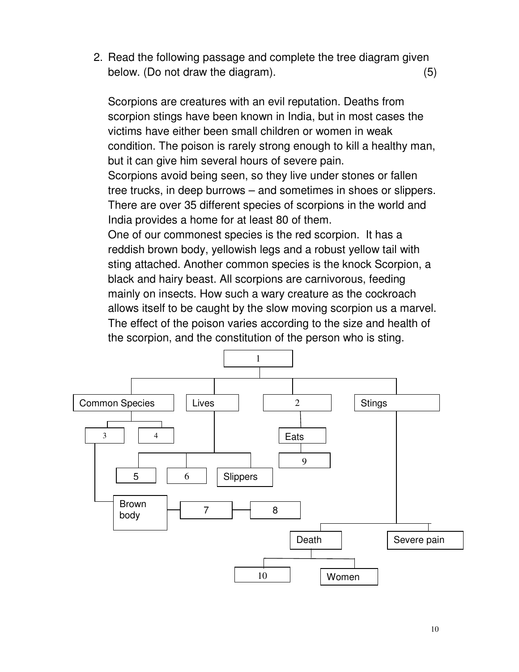2. Read the following passage and complete the tree diagram given below. (Do not draw the diagram). (5)

Scorpions are creatures with an evil reputation. Deaths from scorpion stings have been known in India, but in most cases the victims have either been small children or women in weak condition. The poison is rarely strong enough to kill a healthy man, but it can give him several hours of severe pain.

Scorpions avoid being seen, so they live under stones or fallen tree trucks, in deep burrows – and sometimes in shoes or slippers. There are over 35 different species of scorpions in the world and India provides a home for at least 80 of them.

One of our commonest species is the red scorpion. It has a reddish brown body, yellowish legs and a robust yellow tail with sting attached. Another common species is the knock Scorpion, a black and hairy beast. All scorpions are carnivorous, feeding mainly on insects. How such a wary creature as the cockroach allows itself to be caught by the slow moving scorpion us a marvel. The effect of the poison varies according to the size and health of the scorpion, and the constitution of the person who is sting.

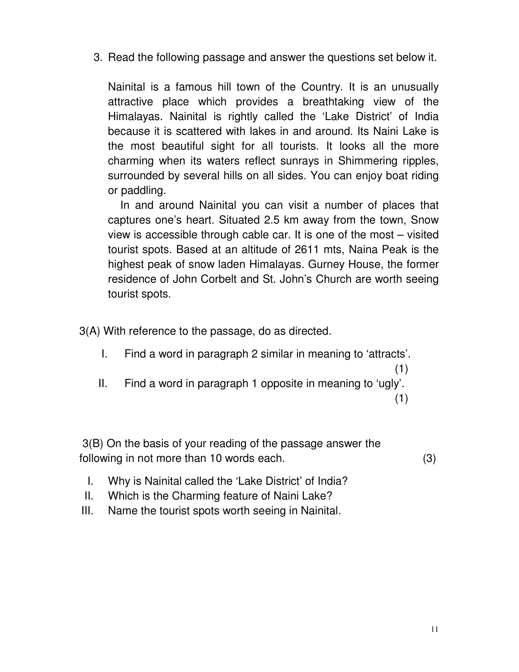3. Read the following passage and answer the questions set below it.

Nainital is a famous hill town of the Country. It is an unusually attractive place which provides a breathtaking view of the Himalayas. Nainital is rightly called the 'Lake District' of India because it is scattered with lakes in and around. Its Naini Lake is the most beautiful sight for all tourists. It looks all the more charming when its waters reflect sunrays in Shimmering ripples, surrounded by several hills on all sides. You can enjoy boat riding or paddling.

 In and around Nainital you can visit a number of places that captures one's heart. Situated 2.5 km away from the town, Snow view is accessible through cable car. It is one of the most – visited tourist spots. Based at an altitude of 2611 mts, Naina Peak is the highest peak of snow laden Himalayas. Gurney House, the former residence of John Corbelt and St. John's Church are worth seeing tourist spots.

3(A) With reference to the passage, do as directed.

- I. Find a word in paragraph 2 similar in meaning to 'attracts'.
- II. Find a word in paragraph 1 opposite in meaning to 'ugly'.

(1)

(1)

 3(B) On the basis of your reading of the passage answer the following in not more than 10 words each. (3)

- I. Why is Nainital called the 'Lake District' of India?
- II. Which is the Charming feature of Naini Lake?
- III. Name the tourist spots worth seeing in Nainital.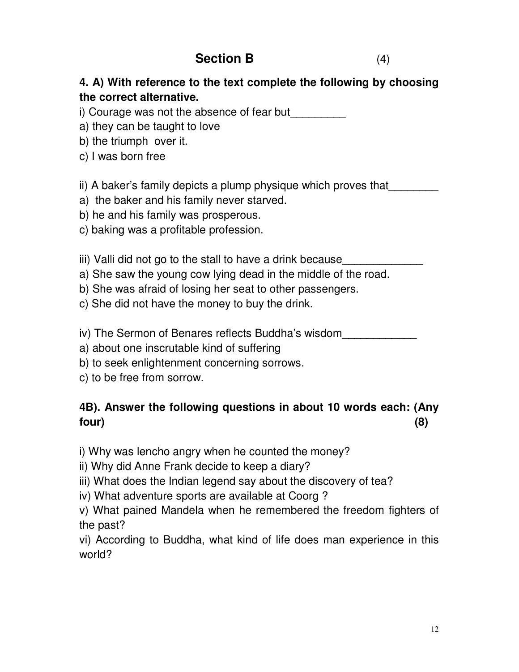# **Section B** (4)

## **4. A) With reference to the text complete the following by choosing the correct alternative.**

i) Courage was not the absence of fear but

- a) they can be taught to love
- b) the triumph over it.
- c) I was born free

### ii) A baker's family depicts a plump physique which proves that

- a) the baker and his family never starved.
- b) he and his family was prosperous.
- c) baking was a profitable profession.

iii) Valli did not go to the stall to have a drink because

- a) She saw the young cow lying dead in the middle of the road.
- b) She was afraid of losing her seat to other passengers.
- c) She did not have the money to buy the drink.
- iv) The Sermon of Benares reflects Buddha's wisdom
- a) about one inscrutable kind of suffering
- b) to seek enlightenment concerning sorrows.
- c) to be free from sorrow.

## **4B). Answer the following questions in about 10 words each: (Any four) (8)**

i) Why was lencho angry when he counted the money?

- ii) Why did Anne Frank decide to keep a diary?
- iii) What does the Indian legend say about the discovery of tea?
- iv) What adventure sports are available at Coorg ?

v) What pained Mandela when he remembered the freedom fighters of the past?

vi) According to Buddha, what kind of life does man experience in this world?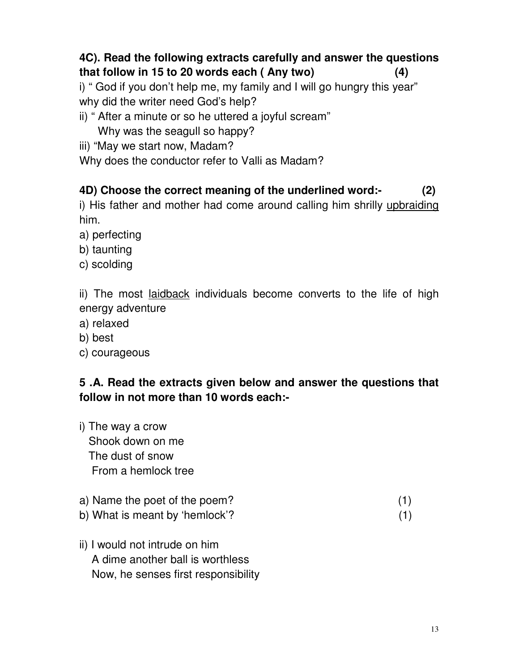## **4C). Read the following extracts carefully and answer the questions that follow in 15 to 20 words each ( Any two) (4)**

i) " God if you don't help me, my family and I will go hungry this year" why did the writer need God's help?

ii) " After a minute or so he uttered a joyful scream"

Why was the seagull so happy?

iii) "May we start now, Madam?

Why does the conductor refer to Valli as Madam?

## **4D) Choose the correct meaning of the underlined word:- (2)**

i) His father and mother had come around calling him shrilly upbraiding him.

- a) perfecting
- b) taunting
- c) scolding

ii) The most laidback individuals become converts to the life of high energy adventure

- a) relaxed
- b) best
- c) courageous

## **5 .A. Read the extracts given below and answer the questions that follow in not more than 10 words each:-**

- i) The way a crow Shook down on me The dust of snow From a hemlock tree
- a) Name the poet of the poem? (1)
- b) What is meant by 'hemlock'? (1)
- ii) I would not intrude on him A dime another ball is worthless Now, he senses first responsibility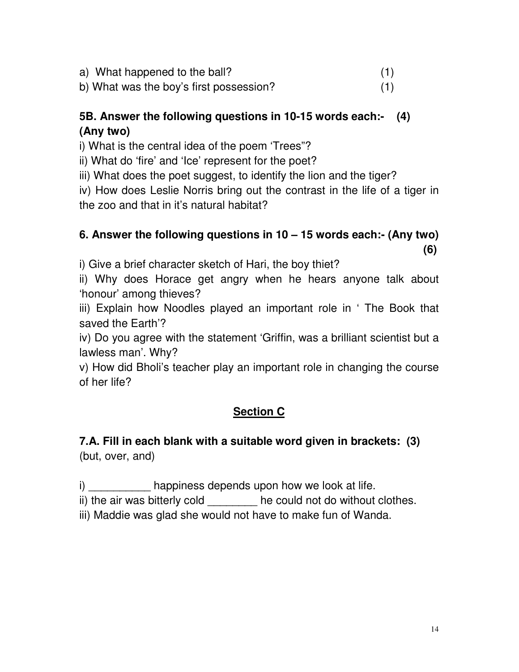a) What happened to the ball? (1)

b) What was the boy's first possession? (1)

## **5B. Answer the following questions in 10-15 words each:- (4) (Any two)**

i) What is the central idea of the poem 'Trees"?

ii) What do 'fire' and 'Ice' represent for the poet?

iii) What does the poet suggest, to identify the lion and the tiger?

iv) How does Leslie Norris bring out the contrast in the life of a tiger in the zoo and that in it's natural habitat?

## **6. Answer the following questions in 10 – 15 words each:- (Any two) (6)**

i) Give a brief character sketch of Hari, the boy thiet?

ii) Why does Horace get angry when he hears anyone talk about 'honour' among thieves?

iii) Explain how Noodles played an important role in ' The Book that saved the Earth'?

iv) Do you agree with the statement 'Griffin, was a brilliant scientist but a lawless man'. Why?

v) How did Bholi's teacher play an important role in changing the course of her life?

## **Section C**

## **7.A. Fill in each blank with a suitable word given in brackets: (3)**  (but, over, and)

i) happiness depends upon how we look at life.

ii) the air was bitterly cold \_\_\_\_\_\_\_\_ he could not do without clothes.

iii) Maddie was glad she would not have to make fun of Wanda.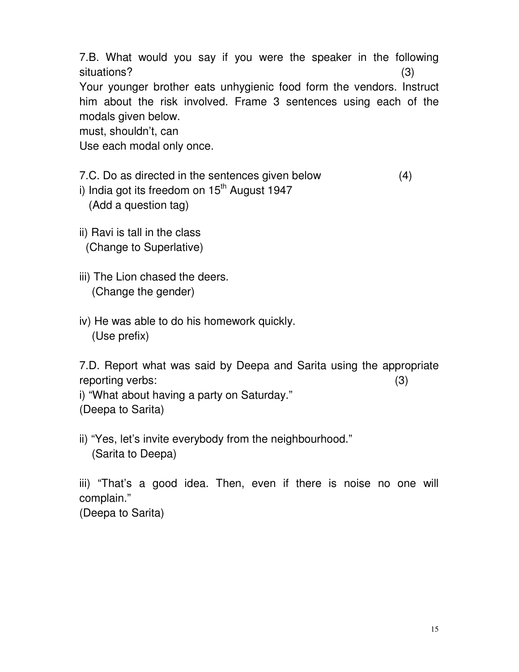7.B. What would you say if you were the speaker in the following situations? (3) Your younger brother eats unhygienic food form the vendors. Instruct

him about the risk involved. Frame 3 sentences using each of the modals given below.

must, shouldn't, can

Use each modal only once.

7.C. Do as directed in the sentences given below (4)

i) India got its freedom on  $15<sup>th</sup>$  August 1947

(Add a question tag)

ii) Ravi is tall in the class (Change to Superlative)

iii) The Lion chased the deers. (Change the gender)

iv) He was able to do his homework quickly. (Use prefix)

7.D. Report what was said by Deepa and Sarita using the appropriate reporting verbs: (3)

i) "What about having a party on Saturday." (Deepa to Sarita)

ii) "Yes, let's invite everybody from the neighbourhood." (Sarita to Deepa)

iii) "That's a good idea. Then, even if there is noise no one will complain."

(Deepa to Sarita)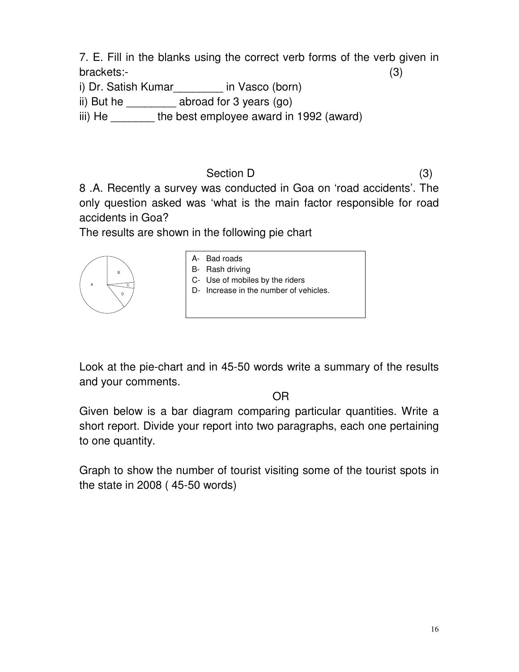7. E. Fill in the blanks using the correct verb forms of the verb given in brackets:- (3)

i) Dr. Satish Kumar\_\_\_\_\_\_\_\_ in Vasco (born)

ii) But he \_\_\_\_\_\_\_\_\_ abroad for 3 years (go)

iii) He **the best employee award in 1992 (award)** 

Section D (3) 8 .A. Recently a survey was conducted in Goa on 'road accidents'. The only question asked was 'what is the main factor responsible for road accidents in Goa?

The results are shown in the following pie chart

| A- Bad roads<br>B- Rash driving<br>B <sub>1</sub><br>C- Use of mobiles by the riders<br>A<br>Increase in the number of vehicles.<br>D-<br>D |  |
|---------------------------------------------------------------------------------------------------------------------------------------------|--|
|---------------------------------------------------------------------------------------------------------------------------------------------|--|

Look at the pie-chart and in 45-50 words write a summary of the results and your comments.

OR

Given below is a bar diagram comparing particular quantities. Write a short report. Divide your report into two paragraphs, each one pertaining to one quantity.

Graph to show the number of tourist visiting some of the tourist spots in the state in 2008 ( 45-50 words)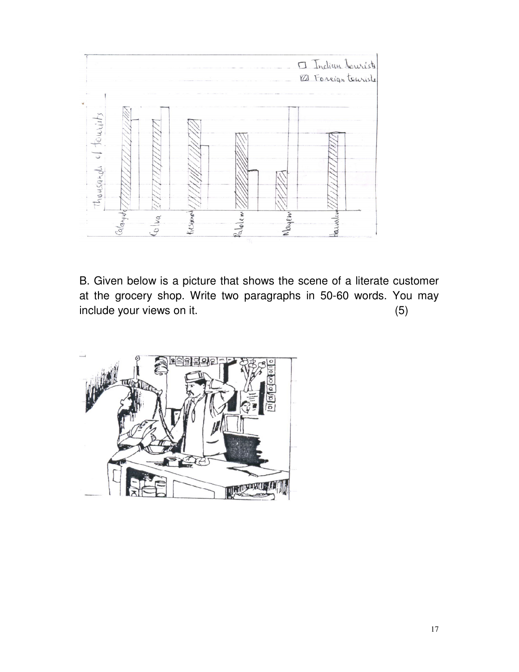

B. Given below is a picture that shows the scene of a literate customer at the grocery shop. Write two paragraphs in 50-60 words. You may include your views on it. (5)

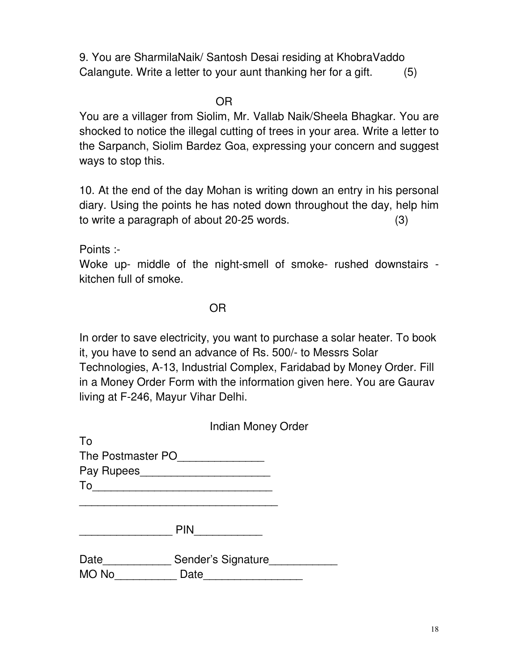9. You are SharmilaNaik/ Santosh Desai residing at KhobraVaddo Calangute. Write a letter to your aunt thanking her for a gift. (5)

**OR** Service Service Service Service Service Service Service Service Service Service Service Service Service Service Service Service Service Service Service Service Service Service Service Service Service Service Service S

You are a villager from Siolim, Mr. Vallab Naik/Sheela Bhagkar. You are shocked to notice the illegal cutting of trees in your area. Write a letter to the Sarpanch, Siolim Bardez Goa, expressing your concern and suggest ways to stop this.

10. At the end of the day Mohan is writing down an entry in his personal diary. Using the points he has noted down throughout the day, help him to write a paragraph of about 20-25 words. (3)

Points :-

Woke up- middle of the night-smell of smoke- rushed downstairs kitchen full of smoke.

OR

In order to save electricity, you want to purchase a solar heater. To book it, you have to send an advance of Rs. 500/- to Messrs Solar Technologies, A-13, Industrial Complex, Faridabad by Money Order. Fill in a Money Order Form with the information given here. You are Gaurav living at F-246, Mayur Vihar Delhi.

|       | <b>Indian Money Order</b>              |  |
|-------|----------------------------------------|--|
| To    |                                        |  |
|       | The Postmaster PO<br>The Postmaster PO |  |
|       | Pay Rupees                             |  |
|       |                                        |  |
|       |                                        |  |
|       | <b>PIN</b>                             |  |
| Date  | Sender's Signature                     |  |
| MO No | Date                                   |  |